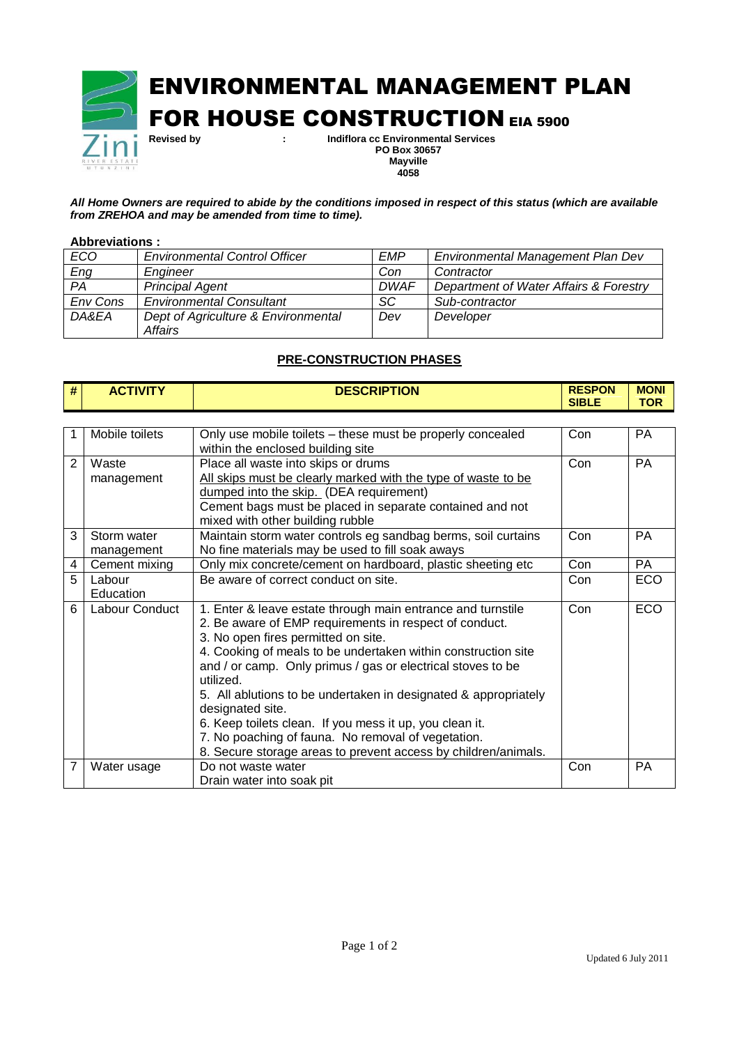

*All Home Owners are required to abide by the conditions imposed in respect of this status (which are available from ZREHOA and may be amended from time to time).*

## **Abbreviations :**

| ECO      | <b>Environmental Control Officer</b> | <b>EMP</b>  | Environmental Management Plan Dev      |
|----------|--------------------------------------|-------------|----------------------------------------|
| Eng      | Enaineer                             | Con         | Contractor                             |
| PA       | <b>Principal Agent</b>               | <b>DWAF</b> | Department of Water Affairs & Forestry |
| Env Cons | <b>Environmental Consultant</b>      | SC          | Sub-contractor                         |
| DA&EA    | Dept of Agriculture & Environmental  | Dev         | Developer                              |
|          | Affairs                              |             |                                        |

## **PRE-CONSTRUCTION PHASES**

| # | <b>ACTIVITY</b> | <b>DESCRIPTION</b>                                            | <b>RESPON</b><br><b>SIBLE</b> | <b>MONI</b><br><b>TOR</b> |
|---|-----------------|---------------------------------------------------------------|-------------------------------|---------------------------|
|   |                 |                                                               |                               |                           |
|   | Mobile toilets  | Only use mobile toilets – these must be properly concealed    | Con                           | РA                        |
|   |                 | within the enclosed building site                             |                               |                           |
|   | Waste           | Place all waste into skips or drums                           | Con                           | <b>PA</b>                 |
|   | management      | All skips must be clearly marked with the type of waste to be |                               |                           |
|   |                 | dumped into the skip. (DEA requirement)                       |                               |                           |
|   |                 | Cement bags must be placed in separate contained and not      |                               |                           |

|   |                           | Gement bags must be placed in separate contained and not<br>mixed with other building rubble                                                                                                                                                                                                                                                                                                                                                                                                                                                                                        |     |            |
|---|---------------------------|-------------------------------------------------------------------------------------------------------------------------------------------------------------------------------------------------------------------------------------------------------------------------------------------------------------------------------------------------------------------------------------------------------------------------------------------------------------------------------------------------------------------------------------------------------------------------------------|-----|------------|
| 3 | Storm water<br>management | Maintain storm water controls eg sandbag berms, soil curtains<br>No fine materials may be used to fill soak aways                                                                                                                                                                                                                                                                                                                                                                                                                                                                   | Con | <b>PA</b>  |
| 4 | Cement mixing             | Only mix concrete/cement on hardboard, plastic sheeting etc                                                                                                                                                                                                                                                                                                                                                                                                                                                                                                                         | Con | <b>PA</b>  |
| 5 | Labour<br>Education       | Be aware of correct conduct on site.                                                                                                                                                                                                                                                                                                                                                                                                                                                                                                                                                | Con | <b>ECO</b> |
| 6 | Labour Conduct            | 1. Enter & leave estate through main entrance and turnstile<br>2. Be aware of EMP requirements in respect of conduct.<br>3. No open fires permitted on site.<br>4. Cooking of meals to be undertaken within construction site<br>and / or camp. Only primus / gas or electrical stoves to be<br>utilized.<br>5. All ablutions to be undertaken in designated & appropriately<br>designated site.<br>6. Keep toilets clean. If you mess it up, you clean it.<br>7. No poaching of fauna. No removal of vegetation.<br>8. Secure storage areas to prevent access by children/animals. | Con | ECO        |
|   | Water usage               | Do not waste water<br>Drain water into soak pit                                                                                                                                                                                                                                                                                                                                                                                                                                                                                                                                     | Con | <b>PA</b>  |